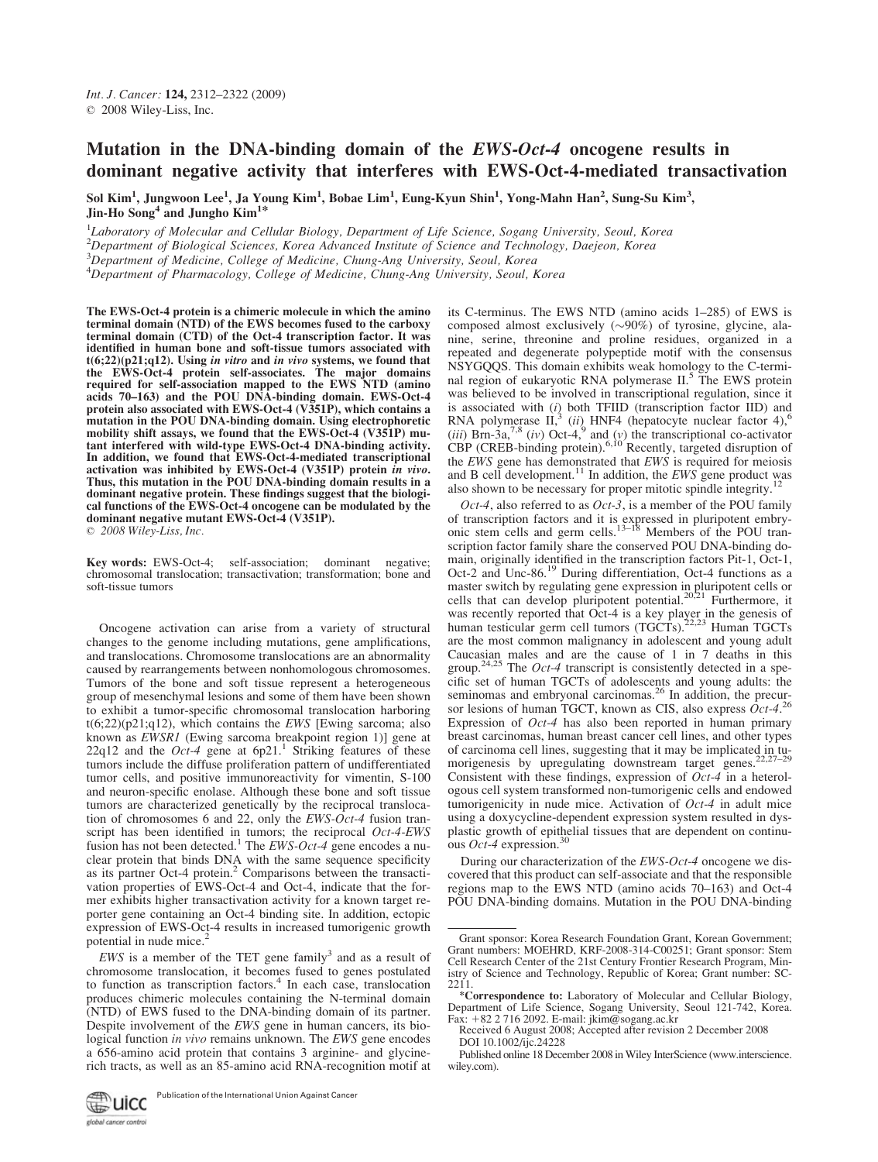# Mutation in the DNA-binding domain of the EWS-Oct-4 oncogene results in dominant negative activity that interferes with EWS-Oct-4-mediated transactivation

Sol Kim<sup>1</sup>, Jungwoon Lee<sup>1</sup>, Ja Young Kim<sup>1</sup>, Bobae Lim<sup>1</sup>, Eung-Kyun Shin<sup>1</sup>, Yong-Mahn Han<sup>2</sup>, Sung-Su Kim<sup>3</sup>, Jin-Ho Song<sup>4</sup> and Jungho Kim<sup>1\*</sup>

<sup>1</sup>Laboratory of Molecular and Cellular Biology, Department of Life Science, Sogang University, Seoul, Korea

2 Department of Biological Sciences, Korea Advanced Institute of Science and Technology, Daejeon, Korea

<sup>3</sup>Department of Medicine, College of Medicine, Chung-Ang University, Seoul, Korea

4 Department of Pharmacology, College of Medicine, Chung-Ang University, Seoul, Korea

The EWS-Oct-4 protein is a chimeric molecule in which the amino terminal domain (NTD) of the EWS becomes fused to the carboxy terminal domain (CTD) of the Oct-4 transcription factor. It was identified in human bone and soft-tissue tumors associated with  $t(6;22)(p21;q12)$ . Using in vitro and in vivo systems, we found that the EWS-Oct-4 protein self-associates. The major domains required for self-association mapped to the EWS NTD (amino acids 70–163) and the POU DNA-binding domain. EWS-Oct-4 protein also associated with EWS-Oct-4 (V351P), which contains a mutation in the POU DNA-binding domain. Using electrophoretic mobility shift assays, we found that the EWS-Oct-4 (V351P) mutant interfered with wild-type EWS-Oct-4 DNA-binding activity. In addition, we found that EWS-Oct-4-mediated transcriptional activation was inhibited by EWS-Oct-4 (V351P) protein in vivo. Thus, this mutation in the POU DNA-binding domain results in a dominant negative protein. These findings suggest that the biological functions of the EWS-Oct-4 oncogene can be modulated by the dominant negative mutant EWS-Oct-4 (V351P).

 $\odot$  2008 Wiley-Liss, Inc.

Key words: EWS-Oct-4; self-association; dominant negative; chromosomal translocation; transactivation; transformation; bone and soft-tissue tumors

Oncogene activation can arise from a variety of structural changes to the genome including mutations, gene amplifications, and translocations. Chromosome translocations are an abnormality caused by rearrangements between nonhomologous chromosomes. Tumors of the bone and soft tissue represent a heterogeneous group of mesenchymal lesions and some of them have been shown to exhibit a tumor-specific chromosomal translocation harboring  $t(6;22)(p21;q12)$ , which contains the *EWS* [Ewing sarcoma; also known as *EWSR1* (Ewing sarcoma breakpoint region 1)] gene at  $22q12$  and the *Oct-4* gene at  $6p21$ .<sup>1</sup> Striking features of these tumors include the diffuse proliferation pattern of undifferentiated tumor cells, and positive immunoreactivity for vimentin, S-100 and neuron-specific enolase. Although these bone and soft tissue tumors are characterized genetically by the reciprocal translocation of chromosomes 6 and 22, only the EWS-Oct-4 fusion transcript has been identified in tumors; the reciprocal  $Oct-4-EWS$  fusion has not been detected.<sup>1</sup> The *EWS-Oct-4* gene encodes a nuclear protein that binds DNA with the same sequence specificity as its partner Oct-4 protein.<sup>2</sup> Comparisons between the transactivation properties of EWS-Oct-4 and Oct-4, indicate that the former exhibits higher transactivation activity for a known target reporter gene containing an Oct-4 binding site. In addition, ectopic expression of EWS-Oct-4 results in increased tumorigenic growth potential in nude mice.

EWS is a member of the TET gene family<sup>3</sup> and as a result of chromosome translocation, it becomes fused to genes postulated to function as transcription factors.<sup>4</sup> In each case, translocation produces chimeric molecules containing the N-terminal domain (NTD) of EWS fused to the DNA-binding domain of its partner. Despite involvement of the EWS gene in human cancers, its biological function *in vivo* remains unknown. The *EWS* gene encodes a 656-amino acid protein that contains 3 arginine- and glycinerich tracts, as well as an 85-amino acid RNA-recognition motif at

Publication of the International Union Against Cancerwicc global cancer control

its C-terminus. The EWS NTD (amino acids 1–285) of EWS is composed almost exclusively  $(\sim 90\%)$  of tyrosine, glycine, alanine, serine, threonine and proline residues, organized in a repeated and degenerate polypeptide motif with the consensus NSYGQQS. This domain exhibits weak homology to the C-terminal region of eukaryotic RNA polymerase II.<sup>5</sup> The EWS protein was believed to be involved in transcriptional regulation, since it is associated with  $(i)$  both TFIID (transcription factor IID) and RNA polymerase  $II$ ,<sup>3</sup> (ii) HNF4 (hepatocyte nuclear factor 4),<sup>6</sup> (iii) Brn-3a,<sup>7,8</sup> (iv) Oct-4,<sup>9</sup> and (y) the transcriptional co-activator CBP (CREB-binding protein).<sup>6,10</sup> Recently, targeted disruption of the EWS gene has demonstrated that EWS is required for meiosis and B cell development.<sup>11</sup> In addition, the *EWS* gene product was also shown to be necessary for proper mitotic spindle integrity.<sup>1</sup>

Oct-4, also referred to as Oct-3, is a member of the POU family of transcription factors and it is expressed in pluripotent embry-<br>onic stem cells and germ cells.<sup>13–18</sup> Members of the POU transcription factor family share the conserved POU DNA-binding domain, originally identified in the transcription factors Pit-1, Oct-1, Oct-2 and Unc-86.<sup>19</sup> During differentiation, Oct-4 functions as a master switch by regulating gene expression in pluripotent cells or cells that can develop pluripotent potential.<sup>20,21</sup> Furthermore, it was recently reported that Oct-4 is a key player in the genesis of human testicular germ cell tumors (TGCTs).<sup>22,23</sup> Human TGCTs are the most common malignancy in adolescent and young adult Caucasian males and are the cause of 1 in 7 deaths in this group.<sup>24,25</sup> The *Oct-4* transcript is consistently detected in a specific set of human TGCTs of adolescents and young adults: the seminomas and embryonal carcinomas.<sup>26</sup> In addition, the precursor lesions of human TGCT, known as CIS, also express  $\dot{O}ct$ -4.<sup>26</sup> Expression of  $Oct-4$  has also been reported in human primary breast carcinomas, human breast cancer cell lines, and other types of carcinoma cell lines, suggesting that it may be implicated in tumorigenesis by upregulating downstream target genes. $22,22$ Consistent with these findings, expression of  $Oct-4$  in a heterologous cell system transformed non-tumorigenic cells and endowed tumorigenicity in nude mice. Activation of  $Oct-4$  in adult mice using a doxycycline-dependent expression system resulted in dysplastic growth of epithelial tissues that are dependent on continuous *Oct-4* expression.<sup>30</sup>

During our characterization of the EWS-Oct-4 oncogene we discovered that this product can self-associate and that the responsible regions map to the EWS NTD (amino acids 70–163) and Oct-4 POU DNA-binding domains. Mutation in the POU DNA-binding

Grant sponsor: Korea Research Foundation Grant, Korean Government; Grant numbers: MOEHRD, KRF-2008-314-C00251; Grant sponsor: Stem Cell Research Center of the 21st Century Frontier Research Program, Ministry of Science and Technology, Republic of Korea; Grant number: SC-2211.

<sup>\*</sup>Correspondence to: Laboratory of Molecular and Cellular Biology, Department of Life Science, Sogang University, Seoul 121-742, Korea. Fax: 182 2 716 2092. E-mail: jkim@sogang.ac.kr

Received 6 August 2008; Accepted after revision 2 December 2008 DOI 10.1002/ijc.24228

Published online 18 December 2008 in Wiley InterScience (www.interscience. wiley.com).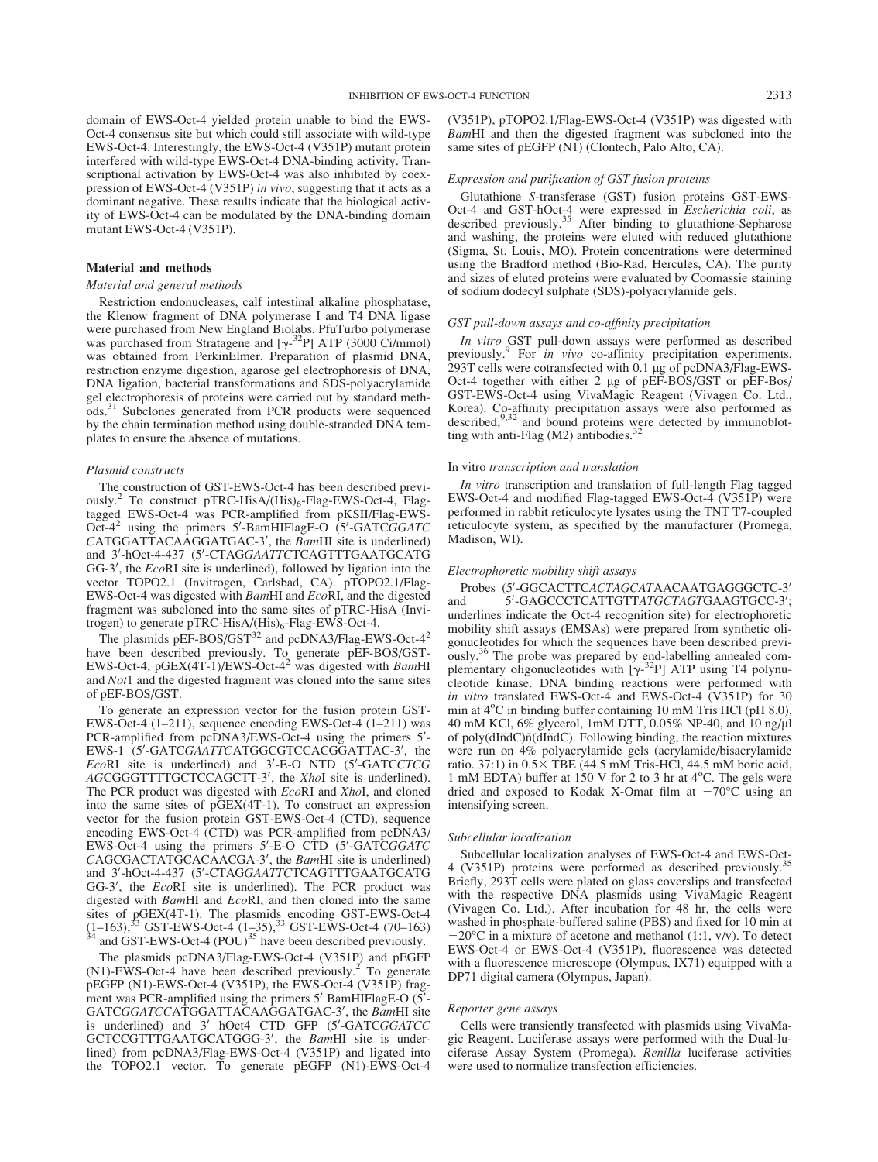domain of EWS-Oct-4 yielded protein unable to bind the EWS-Oct-4 consensus site but which could still associate with wild-type EWS-Oct-4. Interestingly, the EWS-Oct-4 (V351P) mutant protein interfered with wild-type EWS-Oct-4 DNA-binding activity. Transcriptional activation by EWS-Oct-4 was also inhibited by coexpression of EWS-Oct-4 (V351P) in vivo, suggesting that it acts as a dominant negative. These results indicate that the biological activity of EWS-Oct-4 can be modulated by the DNA-binding domain mutant EWS-Oct-4 (V351P).

# Material and methods

#### Material and general methods

Restriction endonucleases, calf intestinal alkaline phosphatase, the Klenow fragment of DNA polymerase I and T4 DNA ligase were purchased from New England Biolabs. PfuTurbo polymerase was purchased from Stratagene and  $[\gamma^{-32}P]$  ATP (3000 Ci/mmol)<br>was obtained from PerkinElmer. Preparation of plasmid DNA. was obtained from PerkinElmer. Preparation of plasmid DNA, restriction enzyme digestion, agarose gel electrophoresis of DNA, DNA ligation, bacterial transformations and SDS-polyacrylamide gel electrophoresis of proteins were carried out by standard methods.<sup>31</sup> Subclones generated from PCR products were sequenced by the chain termination method using double-stranded DNA templates to ensure the absence of mutations.

#### Plasmid constructs

The construction of GST-EWS-Oct-4 has been described previously.<sup>2</sup> To construct pTRC-HisA/(His)<sub>6</sub>-Flag-EWS-Oct-4, Flagtagged EWS-Oct-4 was PCR-amplified from pKSII/Flag-EWS-Oct- $4^2$  using the primers 5'-BamHIFlagE-O (5'-GATCGGATC  $CATGGATTACAAGGATGAC-3'$ , the  $BamHI$  site is underlined) and 3'-hOct-4-437 (5'-CTAGGAATTCTCAGTTTGAATGCATG  $GG-3'$ , the  $EcoRI$  site is underlined), followed by ligation into the vector TOPO2.1 (Invitrogen, Carlsbad, CA). pTOPO2.1/Flag-EWS-Oct-4 was digested with BamHI and EcoRI, and the digested fragment was subcloned into the same sites of pTRC-HisA (Invitrogen) to generate pTRC-HisA/ $(His)_6$ -Flag-EWS-Oct-4.

The plasmids pEF-BOS/GST<sup>32</sup> and pcDNA3/Flag-EWS-Oct-4<sup>2</sup> have been described previously. To generate pEF-BOS/GST-<br>EWS-Oct-4, pGEX(4T-1)/EWS-Oct-4<sup>2</sup> was digested with *Bam*HI and Not1 and the digested fragment was cloned into the same sites of pEF-BOS/GST.

To generate an expression vector for the fusion protein GST-EWS-Oct-4 (1–211), sequence encoding EWS-Oct-4 (1–211) was PCR-amplified from pcDNA3/EWS-Oct-4 using the primers 5'-EWS-1 (5'-GATCGAATTCATGGCGTCCACGGATTAC-3', the  $EcoRI$  site is underlined) and  $3'$ -E-O NTD (5'-GATCCTCG AGCGGGTTTTGCTCCAGCTT-3', the XhoI site is underlined). The PCR product was digested with *EcoRI* and *XhoI*, and cloned into the same sites of pGEX(4T-1). To construct an expression vector for the fusion protein GST-EWS-Oct-4 (CTD), sequence encoding EWS-Oct-4 (CTD) was PCR-amplified from pcDNA3/ EWS-Oct-4 using the primers 5'-E-O CTD (5'-GATCGGATC  $CAGCGACTATGCACACGA-3'$ , the  $BamHI$  site is underlined) and 3'-hOct-4-437 (5'-CTAGGAATTCTCAGTTTGAATGCATG  $GG-3'$ , the  $EcoRI$  site is underlined). The PCR product was digested with BamHI and EcoRI, and then cloned into the same sites of pGEX(4T-1). The plasmids encoding GST-EWS-Oct-4  $(1-163)$ ,<sup>33</sup> GST-EWS-Oct-4  $(1-35)$ ,<sup>33</sup> GST-EWS-Oct-4 (POU)<sup>35</sup> have been described previously.

The plasmids pcDNA3/Flag-EWS-Oct-4 (V351P) and pEGFP  $(N1)$ -EWS-Oct-4 have been described previously.<sup>2</sup> To generate pEGFP (N1)-EWS-Oct-4 (V351P), the EWS-Oct-4 (V351P) fragment was PCR-amplified using the primers 5' BamHIFlagE-O (5'-GATCGGATCCATGGATTACAAGGATGAC-3', the BamHI site is underlined) and 3' hOct4 CTD GFP (5'-GATCGGATCC GCTCCGTTTGAATGCATGGG-3', the *BamHI* site is underlined) from pcDNA3/Flag-EWS-Oct-4 (V351P) and ligated into the TOPO2.1 vector. To generate pEGFP (N1)-EWS-Oct-4

(V351P), pTOPO2.1/Flag-EWS-Oct-4 (V351P) was digested with BamHI and then the digested fragment was subcloned into the same sites of pEGFP (N1) (Clontech, Palo Alto, CA).

#### Expression and purification of GST fusion proteins

Glutathione S-transferase (GST) fusion proteins GST-EWS-Oct-4 and GST-hOct-4 were expressed in *Escherichia coli*, as described previously.<sup>35</sup> After binding to glutathione-Sepharose and washing, the proteins were eluted with reduced glutathione (Sigma, St. Louis, MO). Protein concentrations were determined using the Bradford method (Bio-Rad, Hercules, CA). The purity and sizes of eluted proteins were evaluated by Coomassie staining of sodium dodecyl sulphate (SDS)-polyacrylamide gels.

#### GST pull-down assays and co-affinity precipitation

In vitro GST pull-down assays were performed as described previously.<sup>9</sup> For *in vivo* co-affinity precipitation experiments, 293T cells were cotransfected with 0.1 µg of pcDNA3/Flag-EWS-Oct-4 together with either 2 µg of pEF-BOS/GST or pEF-Bos/ GST-EWS-Oct-4 using VivaMagic Reagent (Vivagen Co. Ltd., Korea). Co-affinity precipitation assays were also performed as described,<sup>9,32</sup> and bound proteins were detected by immunoblotting with anti-Flag (M2) antibodies.<sup>32</sup>

#### In vitro transcription and translation

In vitro transcription and translation of full-length Flag tagged EWS-Oct-4 and modified Flag-tagged EWS-Oct-4 (V351P) were performed in rabbit reticulocyte lysates using the TNT T7-coupled reticulocyte system, as specified by the manufacturer (Promega, Madison, WI).

#### Electrophoretic mobility shift assays

Probes (5'-GGCACTTCACTAGCATAACAATGAGGGCTC-3' and -GAGCCCTCATTGTTATGCTAGTGAAGTGCC-3'; underlines indicate the Oct-4 recognition site) for electrophoretic mobility shift assays (EMSAs) were prepared from synthetic oligonucleotides for which the sequences have been described previously.<sup>36</sup> The probe was prepared by end-labelling annealed complementary oligonucleotides with  $[\gamma^{-32}P]$  ATP using T4 polynu-<br>cleotide kinase. DNA binding reactions were performed with cleotide kinase. DNA binding reactions were performed with in vitro translated EWS-Oct-4 and EWS-Oct-4 (V351P) for 30 min at 4<sup>o</sup>C in binding buffer containing 10 mM Tris HCl (pH 8.0), 40 mM KCl, 6% glycerol, 1mM DTT, 0.05% NP-40, and 10 ng/ll of poly(dIñdC)ñ(dIñdC). Following binding, the reaction mixtures were run on 4% polyacrylamide gels (acrylamide/bisacrylamide ratio. 37:1) in  $0.5 \times$  TBE (44.5 mM Tris-HCl, 44.5 mM boric acid, 1 mM EDTA) buffer at 150 V for 2 to 3 hr at 4°C. The gels were dried and exposed to Kodak X-Omat film at  $-70^{\circ}$ C using an intensifying screen.

#### Subcellular localization

Subcellular localization analyses of EWS-Oct-4 and EWS-Oct-4 (V351P) proteins were performed as described previously. Briefly, 293T cells were plated on glass coverslips and transfected with the respective DNA plasmids using VivaMagic Reagent (Vivagen Co. Ltd.). After incubation for 48 hr, the cells were washed in phosphate-buffered saline (PBS) and fixed for 10 min at  $-20^{\circ}$ C in a mixture of acetone and methanol (1:1, v/v). To detect EWS-Oct-4 or EWS-Oct-4 (V351P), fluorescence was detected with a fluorescence microscope (Olympus, IX71) equipped with a DP71 digital camera (Olympus, Japan).

#### Reporter gene assays

Cells were transiently transfected with plasmids using VivaMagic Reagent. Luciferase assays were performed with the Dual-luciferase Assay System (Promega). Renilla luciferase activities were used to normalize transfection efficiencies.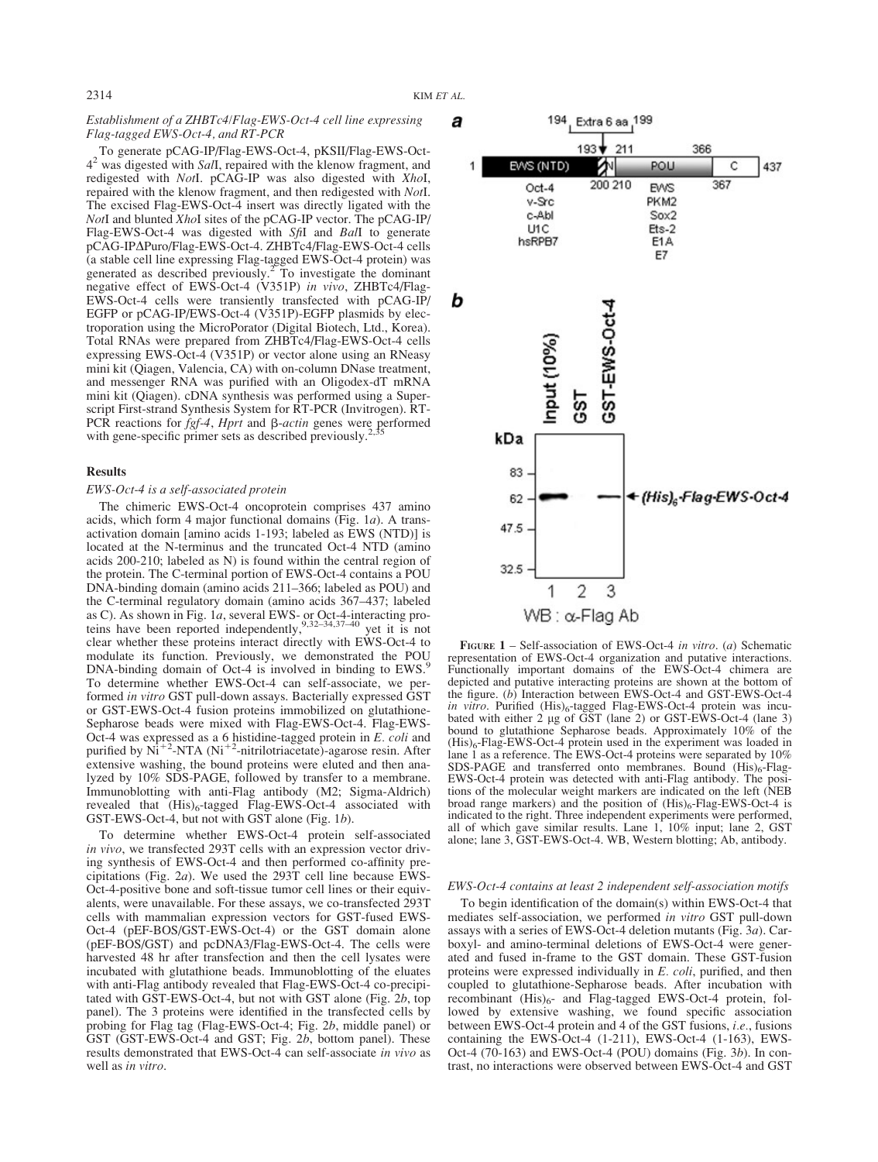# Establishment of a ZHBTc4/Flag-EWS-Oct-4 cell line expressing Flag-tagged EWS-Oct-4, and RT-PCR

To generate pCAG-IP/Flag-EWS-Oct-4, pKSII/Flag-EWS-Oct- $4<sup>2</sup>$  was digested with SalI, repaired with the klenow fragment, and redigested with NotI. pCAG-IP was also digested with XhoI, repaired with the klenow fragment, and then redigested with NotI. The excised Flag-EWS-Oct-4 insert was directly ligated with the NotI and blunted XhoI sites of the pCAG-IP vector. The pCAG-IP/ Flag-EWS-Oct-4 was digested with SfiI and BalI to generate pCAG-IPΔPuro/Flag-EWS-Oct-4. ZHBTc4/Flag-EWS-Oct-4 cells (a stable cell line expressing Flag-tagged EWS-Oct-4 protein) was generated as described previously.2 To investigate the dominant negative effect of EWS-Oct-4 (V351P) in vivo, ZHBTc4/Flag-EWS-Oct-4 cells were transiently transfected with pCAG-IP/ EGFP or pCAG-IP/EWS-Oct-4 (V351P)-EGFP plasmids by electroporation using the MicroPorator (Digital Biotech, Ltd., Korea). Total RNAs were prepared from ZHBTc4/Flag-EWS-Oct-4 cells expressing EWS-Oct-4 (V351P) or vector alone using an RNeasy mini kit (Qiagen, Valencia, CA) with on-column DNase treatment, and messenger RNA was purified with an Oligodex-dT mRNA mini kit (Qiagen). cDNA synthesis was performed using a Superscript First-strand Synthesis System for RT-PCR (Invitrogen). RT-PCR reactions for  $\bar{f}gf-4$ , *Hprt* and  $\beta$ -*actin* genes were performed with gene-specific primer sets as described previously.

## Results

# EWS-Oct-4 is a self-associated protein

The chimeric EWS-Oct-4 oncoprotein comprises 437 amino acids, which form 4 major functional domains (Fig. 1a). A transactivation domain [amino acids 1-193; labeled as EWS (NTD)] is located at the N-terminus and the truncated Oct-4 NTD (amino acids 200-210; labeled as N) is found within the central region of the protein. The C-terminal portion of EWS-Oct-4 contains a POU DNA-binding domain (amino acids 211–366; labeled as POU) and the C-terminal regulatory domain (amino acids 367–437; labeled as C). As shown in Fig. 1*a*, several EWS- or Oct-4-interacting proteins have been reported independently,<sup>9,32–34,37–40</sup> yet it is not clear whether these proteins interact directly with EWS-Oct-4 to modulate its function. Previously, we demonstrated the POU DNA-binding domain of Oct-4 is involved in binding to EWS. To determine whether EWS-Oct-4 can self-associate, we performed in vitro GST pull-down assays. Bacterially expressed GST or GST-EWS-Oct-4 fusion proteins immobilized on glutathione-Sepharose beads were mixed with Flag-EWS-Oct-4. Flag-EWS-Oct-4 was expressed as a 6 histidine-tagged protein in *E. coli* and purified by Ni<sup>+2</sup>-NTA (Ni<sup>+2</sup>-nitrilotriacetate)-agarose resin. After extensive washing, the bound proteins were eluted and then analyzed by 10% SDS-PAGE, followed by transfer to a membrane. Immunoblotting with anti-Flag antibody (M2; Sigma-Aldrich) revealed that  $(His)_6$ -tagged Flag-EWS-Oct-4 associated with GST-EWS-Oct-4, but not with GST alone (Fig. 1b).

To determine whether EWS-Oct-4 protein self-associated in vivo, we transfected 293T cells with an expression vector driving synthesis of EWS-Oct-4 and then performed co-affinity precipitations (Fig. 2a). We used the 293T cell line because EWS-Oct-4-positive bone and soft-tissue tumor cell lines or their equivalents, were unavailable. For these assays, we co-transfected 293T cells with mammalian expression vectors for GST-fused EWS-Oct-4 (pEF-BOS/GST-EWS-Oct-4) or the GST domain alone (pEF-BOS/GST) and pcDNA3/Flag-EWS-Oct-4. The cells were harvested 48 hr after transfection and then the cell lysates were incubated with glutathione beads. Immunoblotting of the eluates with anti-Flag antibody revealed that Flag-EWS-Oct-4 co-precipitated with GST-EWS-Oct-4, but not with GST alone (Fig. 2b, top panel). The 3 proteins were identified in the transfected cells by probing for Flag tag (Flag-EWS-Oct-4; Fig. 2b, middle panel) or GST (GST-EWS-Oct-4 and GST; Fig. 2b, bottom panel). These results demonstrated that EWS-Oct-4 can self-associate in vivo as well as in vitro.



FIGURE 1 – Self-association of EWS-Oct-4 in vitro. (a) Schematic representation of EWS-Oct-4 organization and putative interactions. Functionally important domains of the EWS-Oct-4 chimera are depicted and putative interacting proteins are shown at the bottom of the figure. (b) Interaction between EWS-Oct-4 and GST-EWS-Oct-4 in vitro. Purified (His)<sub>6</sub>-tagged Flag-EWS-Oct-4 protein was incu-<br>bated with either 2 µg of GST (lane 2) or GST-EWS-Oct-4 (lane 3) bound to glutathione Sepharose beads. Approximately 10% of the  $(His)_6$ -Flag-EWS-Oct-4 protein used in the experiment was loaded in lane 1 as a reference. The EWS-Oct-4 proteins were separated by  $10\%$ SDS-PAGE and transferred onto membranes. Bound  $(His)_6$ -Flag-EWS-Oct-4 protein was detected with anti-Flag antibody. The positions of the molecular weight markers are indicated on the left (NEB broad range markers) and the position of  $(His)_{6}$ -Flag-EWS-Oct-4 is indicated to the right. Three independent experiments were performed, all of which gave similar results. Lane 1, 10% input; lane 2, GST alone; lane 3, GST-EWS-Oct-4. WB, Western blotting; Ab, antibody.

#### EWS-Oct-4 contains at least 2 independent self-association motifs

To begin identification of the domain(s) within EWS-Oct-4 that mediates self-association, we performed in vitro GST pull-down assays with a series of EWS-Oct-4 deletion mutants (Fig. 3a). Carboxyl- and amino-terminal deletions of EWS-Oct-4 were generated and fused in-frame to the GST domain. These GST-fusion proteins were expressed individually in E. coli, purified, and then coupled to glutathione-Sepharose beads. After incubation with recombinant  $(His)_{6}$ - and Flag-tagged EWS-Oct-4 protein, followed by extensive washing, we found specific association between EWS-Oct-4 protein and 4 of the GST fusions, i.e., fusions containing the EWS-Oct-4 (1-211), EWS-Oct-4 (1-163), EWS-Oct-4 (70-163) and EWS-Oct-4 (POU) domains (Fig. 3b). In contrast, no interactions were observed between EWS-Oct-4 and GST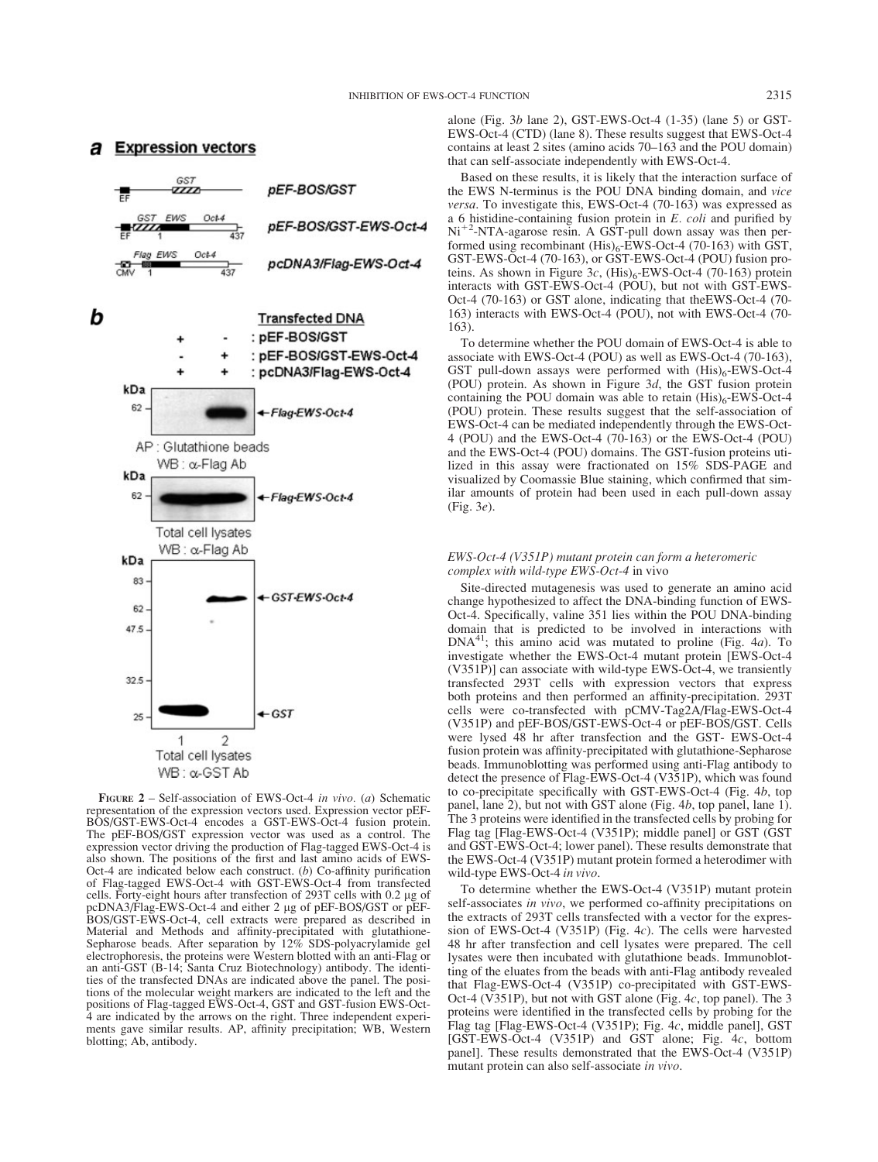# **a** Expression vectors



FIGURE  $2$  – Self-association of EWS-Oct-4 in vivo. (a) Schematic representation of the expression vectors used. Expression vector pEF-BOS/GST-EWS-Oct-4 encodes a GST-EWS-Oct-4 fusion protein. The pEF-BOS/GST expression vector was used as a control. The expression vector driving the production of Flag-tagged EWS-Oct-4 is also shown. The positions of the first and last amino acids of EWS-Oct-4 are indicated below each construct.  $(b)$  Co-affinity purification of Flag-tagged EWS-Oct-4 with GST-EWS-Oct-4 from transfected cells. Forty-eight hours after transfection of 293T cells with 0.2 µg of pcDNA3/Flag-EWS-Oct-4 and either 2 lg of pEF-BOS/GST or pEF-BOS/GST-EWS-Oct-4, cell extracts were prepared as described in Material and Methods and affinity-precipitated with glutathione-Sepharose beads. After separation by 12% SDS-polyacrylamide gel electrophoresis, the proteins were Western blotted with an anti-Flag or an anti-GST (B-14; Santa Cruz Biotechnology) antibody. The identities of the transfected DNAs are indicated above the panel. The positions of the molecular weight markers are indicated to the left and the positions of Flag-tagged EWS-Oct-4, GST and GST-fusion EWS-Oct-4 are indicated by the arrows on the right. Three independent experiments gave similar results. AP, affinity precipitation; WB, Western blotting; Ab, antibody.

alone (Fig. 3b lane 2), GST-EWS-Oct-4 (1-35) (lane 5) or GST-EWS-Oct-4 (CTD) (lane 8). These results suggest that EWS-Oct-4 contains at least 2 sites (amino acids 70–163 and the POU domain) that can self-associate independently with EWS-Oct-4.

Based on these results, it is likely that the interaction surface of the EWS N-terminus is the POU DNA binding domain, and vice versa. To investigate this, EWS-Oct-4 (70-163) was expressed as a 6 histidine-containing fusion protein in  $E$ . *coli* and purified by Ni<sup>+2</sup>-NTA-agarose resin. A GST-pull down assay was then performed using recombinant  $(His)_6$ -EWS-Oct-4 (70-163) with GST, GST-EWS-Oct-4 (70-163), or GST-EWS-Oct-4 (POU) fusion proteins. As shown in Figure 3c,  $(His)_6$ -EWS-Oct-4 (70-163) protein interacts with GST-EWS-Oct-4 (POU), but not with GST-EWS-Oct-4 (70-163) or GST alone, indicating that theEWS-Oct-4 (70- 163) interacts with EWS-Oct-4 (POU), not with EWS-Oct-4 (70- 163).

To determine whether the POU domain of EWS-Oct-4 is able to associate with EWS-Oct-4 (POU) as well as EWS-Oct-4 (70-163), GST pull-down assays were performed with  $(His)_6$ -EWS-Oct-4 (POU) protein. As shown in Figure  $3d$ , the GST fusion protein containing the POU domain was able to retain  $(His)_6$ -EWS-Oct-4 (POU) protein. These results suggest that the self-association of EWS-Oct-4 can be mediated independently through the EWS-Oct-4 (POU) and the EWS-Oct-4 (70-163) or the EWS-Oct-4 (POU) and the EWS-Oct-4 (POU) domains. The GST-fusion proteins utilized in this assay were fractionated on 15% SDS-PAGE and visualized by Coomassie Blue staining, which confirmed that similar amounts of protein had been used in each pull-down assay (Fig. 3e).

# EWS-Oct-4 (V351P) mutant protein can form a heteromeric complex with wild-type EWS-Oct-4 in vivo

Site-directed mutagenesis was used to generate an amino acid change hypothesized to affect the DNA-binding function of EWS-Oct-4. Specifically, valine 351 lies within the POU DNA-binding domain that is predicted to be involved in interactions with  $DNA<sup>41</sup>$ ; this amino acid was mutated to proline (Fig. 4*a*). To investigate whether the EWS-Oct-4 mutant protein [EWS-Oct-4 (V351P)] can associate with wild-type EWS-Oct-4, we transiently transfected 293T cells with expression vectors that express both proteins and then performed an affinity-precipitation. 293T cells were co-transfected with pCMV-Tag2A/Flag-EWS-Oct-4 (V351P) and pEF-BOS/GST-EWS-Oct-4 or pEF-BOS/GST. Cells were lysed 48 hr after transfection and the GST- EWS-Oct-4 fusion protein was affinity-precipitated with glutathione-Sepharose beads. Immunoblotting was performed using anti-Flag antibody to detect the presence of Flag-EWS-Oct-4 (V351P), which was found to co-precipitate specifically with GST-EWS-Oct-4 (Fig. 4b, top panel, lane 2), but not with GST alone (Fig. 4b, top panel, lane 1). The 3 proteins were identified in the transfected cells by probing for Flag tag [Flag-EWS-Oct-4 (V351P); middle panel] or GST (GST and GST-EWS-Oct-4; lower panel). These results demonstrate that the EWS-Oct-4 (V351P) mutant protein formed a heterodimer with wild-type EWS-Oct-4 in vivo.

To determine whether the EWS-Oct-4 (V351P) mutant protein self-associates in vivo, we performed co-affinity precipitations on the extracts of 293T cells transfected with a vector for the expression of EWS-Oct-4 (V351P) (Fig. 4c). The cells were harvested 48 hr after transfection and cell lysates were prepared. The cell lysates were then incubated with glutathione beads. Immunoblotting of the eluates from the beads with anti-Flag antibody revealed that Flag-EWS-Oct-4 (V351P) co-precipitated with GST-EWS-Oct-4 (V351P), but not with GST alone (Fig. 4c, top panel). The 3 proteins were identified in the transfected cells by probing for the Flag tag [Flag-EWS-Oct-4 (V351P); Fig. 4c, middle panel], GST [GST-EWS-Oct-4 (V351P) and GST alone; Fig. 4c, bottom panel]. These results demonstrated that the EWS-Oct-4 (V351P) mutant protein can also self-associate in vivo.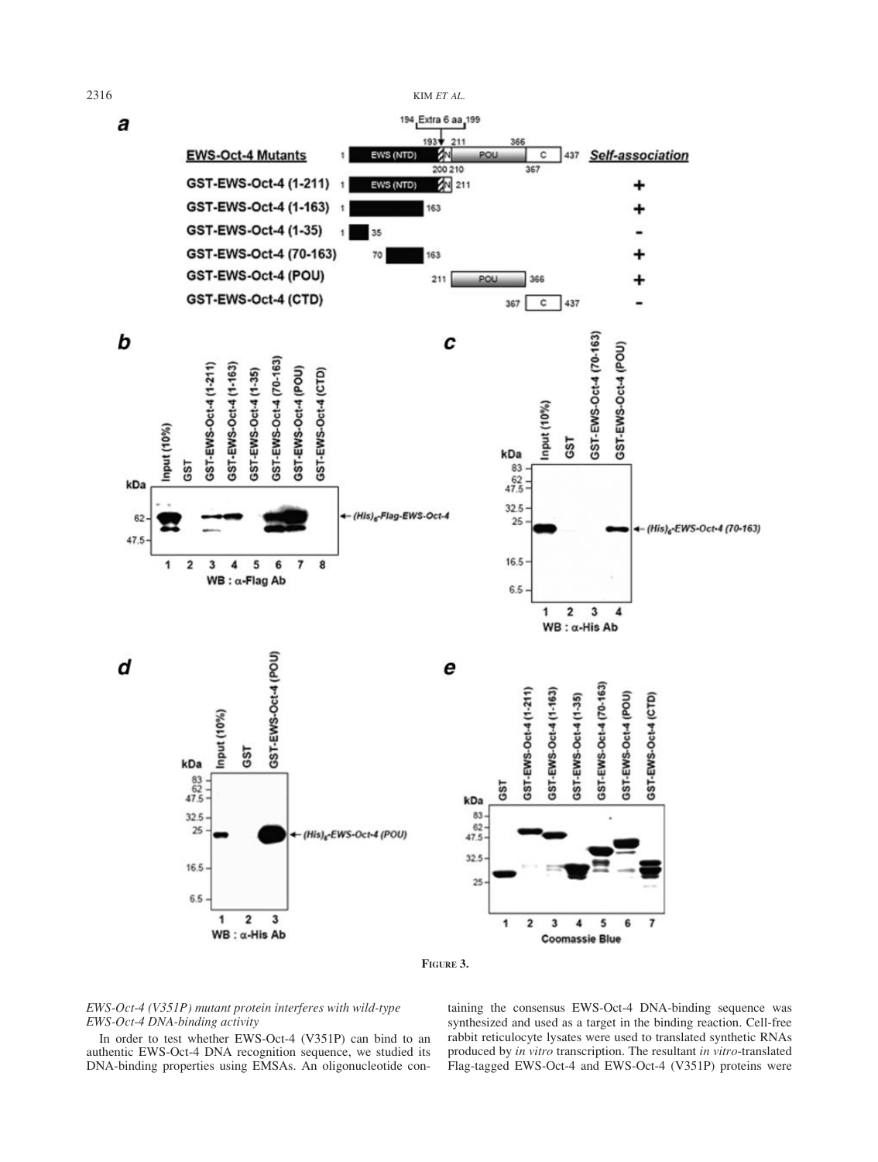



# EWS-Oct-4 (V351P) mutant protein interferes with wild-type EWS-Oct-4 DNA-binding activity

In order to test whether EWS-Oct-4 (V351P) can bind to an authentic EWS-Oct-4 DNA recognition sequence, we studied its DNA-binding properties using EMSAs. An oligonucleotide con-

taining the consensus EWS-Oct-4 DNA-binding sequence was synthesized and used as a target in the binding reaction. Cell-free rabbit reticulocyte lysates were used to translated synthetic RNAs produced by in vitro transcription. The resultant in vitro-translated Flag-tagged EWS-Oct-4 and EWS-Oct-4 (V351P) proteins were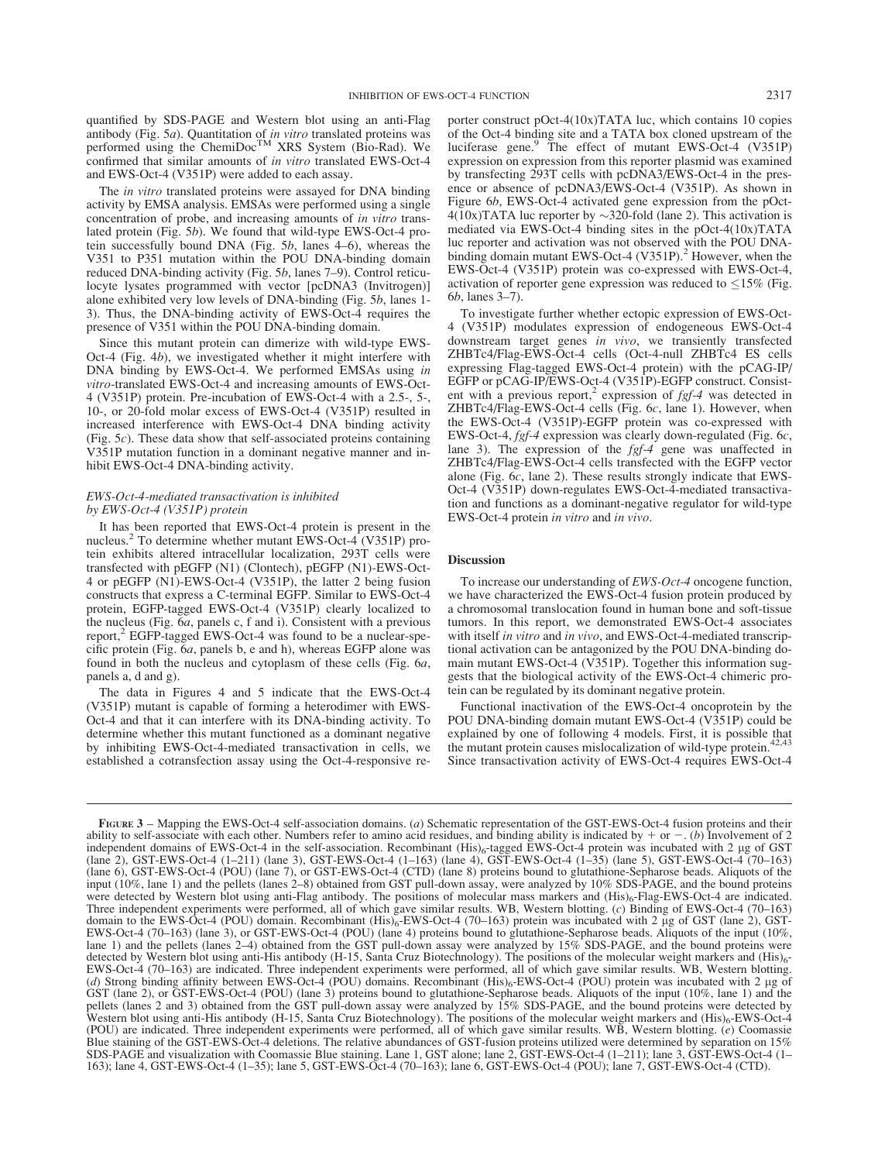quantified by SDS-PAGE and Western blot using an anti-Flag antibody (Fig. 5*a*). Quantitation of *in vitro* translated proteins was performed using the ChemiDoc<sup>TM</sup> XRS System (Bio-Rad). We confirmed that similar amounts of in vitro translated EWS-Oct-4 and EWS-Oct-4 (V351P) were added to each assay.

The in vitro translated proteins were assayed for DNA binding activity by EMSA analysis. EMSAs were performed using a single concentration of probe, and increasing amounts of in vitro translated protein (Fig. 5b). We found that wild-type EWS-Oct-4 protein successfully bound DNA (Fig. 5b, lanes 4–6), whereas the V351 to P351 mutation within the POU DNA-binding domain reduced DNA-binding activity (Fig. 5b, lanes 7–9). Control reticulocyte lysates programmed with vector [pcDNA3 (Invitrogen)] alone exhibited very low levels of DNA-binding (Fig. 5b, lanes 1- 3). Thus, the DNA-binding activity of EWS-Oct-4 requires the presence of V351 within the POU DNA-binding domain.

Since this mutant protein can dimerize with wild-type EWS-Oct-4 (Fig. 4b), we investigated whether it might interfere with DNA binding by EWS-Oct-4. We performed EMSAs using in vitro-translated EWS-Oct-4 and increasing amounts of EWS-Oct-4 (V351P) protein. Pre-incubation of EWS-Oct-4 with a 2.5-, 5-, 10-, or 20-fold molar excess of EWS-Oct-4 (V351P) resulted in increased interference with EWS-Oct-4 DNA binding activity (Fig. 5c). These data show that self-associated proteins containing V351P mutation function in a dominant negative manner and inhibit EWS-Oct-4 DNA-binding activity.

#### EWS-Oct-4-mediated transactivation is inhibited by EWS-Oct-4 (V351P) protein

It has been reported that EWS-Oct-4 protein is present in the nucleus.<sup>2</sup> To determine whether mutant EWS-Oct-4 (V351P) protein exhibits altered intracellular localization, 293T cells were transfected with pEGFP (N1) (Clontech), pEGFP (N1)-EWS-Oct-4 or pEGFP (N1)-EWS-Oct-4 (V351P), the latter 2 being fusion constructs that express a C-terminal EGFP. Similar to EWS-Oct-4 protein, EGFP-tagged EWS-Oct-4 (V351P) clearly localized to the nucleus (Fig. 6a, panels c, f and i). Consistent with a previous report,<sup>2</sup> EGFP-tagged EWS-Oct-4 was found to be a nuclear-specific protein (Fig. 6a, panels b, e and h), whereas EGFP alone was found in both the nucleus and cytoplasm of these cells (Fig. 6a, panels a, d and g).

The data in Figures 4 and 5 indicate that the EWS-Oct-4 (V351P) mutant is capable of forming a heterodimer with EWS-Oct-4 and that it can interfere with its DNA-binding activity. To determine whether this mutant functioned as a dominant negative by inhibiting EWS-Oct-4-mediated transactivation in cells, we established a cotransfection assay using the Oct-4-responsive re-

porter construct pOct-4(10x)TATA luc, which contains 10 copies of the Oct-4 binding site and a TATA box cloned upstream of the luciferase gene.<sup>9</sup> The effect of mutant EWS-Oct-4 (V351P) expression on expression from this reporter plasmid was examined by transfecting 293T cells with pcDNA3/EWS-Oct-4 in the presence or absence of pcDNA3/EWS-Oct-4 (V351P). As shown in Figure 6b, EWS-Oct-4 activated gene expression from the pOct- $4(10x)$ TATA luc reporter by  $\sim$ 320-fold (lane 2). This activation is mediated via EWS-Oct-4 binding sites in the pOct-4(10x)TATA luc reporter and activation was not observed with the POU DNAbinding domain mutant EWS-Oct-4 (V351P).<sup>2</sup> However, when the EWS-Oct-4 (V351P) protein was co-expressed with EWS-Oct-4, activation of reporter gene expression was reduced to  $\leq 15\%$  (Fig. 6b, lanes 3–7).

To investigate further whether ectopic expression of EWS-Oct-4 (V351P) modulates expression of endogeneous EWS-Oct-4 downstream target genes in vivo, we transiently transfected ZHBTc4/Flag-EWS-Oct-4 cells (Oct-4-null ZHBTc4 ES cells expressing Flag-tagged EWS-Oct-4 protein) with the pCAG-IP/ EGFP or pCAG-IP/EWS-Oct-4 (V351P)-EGFP construct. Consistent with a previous report,<sup>2</sup> expression of  $f \circ f - 4$  was detected in ZHBTc4/Flag-EWS-Oct-4 cells (Fig. 6c, lane 1). However, when the EWS-Oct-4 (V351P)-EGFP protein was co-expressed with EWS-Oct-4, fgf-4 expression was clearly down-regulated (Fig. 6c, lane 3). The expression of the *fgf-4* gene was unaffected in ZHBTc4/Flag-EWS-Oct-4 cells transfected with the EGFP vector alone (Fig. 6c, lane 2). These results strongly indicate that EWS-Oct-4 (V351P) down-regulates EWS-Oct-4-mediated transactivation and functions as a dominant-negative regulator for wild-type EWS-Oct-4 protein in vitro and in vivo.

# **Discussion**

To increase our understanding of EWS-Oct-4 oncogene function, we have characterized the EWS-Oct-4 fusion protein produced by a chromosomal translocation found in human bone and soft-tissue tumors. In this report, we demonstrated EWS-Oct-4 associates with itself in vitro and in vivo, and EWS-Oct-4-mediated transcriptional activation can be antagonized by the POU DNA-binding domain mutant EWS-Oct-4 (V351P). Together this information suggests that the biological activity of the EWS-Oct-4 chimeric protein can be regulated by its dominant negative protein.

Functional inactivation of the EWS-Oct-4 oncoprotein by the POU DNA-binding domain mutant EWS-Oct-4 (V351P) could be explained by one of following 4 models. First, it is possible that the mutant protein causes mislocalization of wild-type protein.<sup>42,43</sup> Since transactivation activity of EWS-Oct-4 requires EWS-Oct-4

FIGURE 3 – Mapping the EWS-Oct-4 self-association domains. (*a*) Schematic representation of the GST-EWS-Oct-4 fusion proteins and their ability to self-associate with each other. Numbers refer to amino acid residues, and ability to self-associate with each other. Numbers refer to amino acid residues, and binding ability is indicated by + or −. (b) Involvement of 2 independent domains of EWS-Oct-4 in the self-association. Recombinant (His) (lane 6), GST-EWS-Oct-4 (POU) (lane 7), or GST-EWS-Oct-4 (CTD) (lane 8) proteins bound to glutathione-Sepharose beads. Aliquots of the input (10%, lane 1) and the pellets (lanes 2–8) obtained from GST pull-down assay, were analyzed by 10% SDS-PAGE, and the bound proteins were detected by Western blot using anti-Flag antibody. The positions of molecular mass markers and (His)<sub>6</sub>-Flag-EWS-Oct-4 are indicated. Three independent experiments were performed, all of which gave similar results. WB, Western blotting. (c) Binding of EWS-Oct-4 (70–163) domain to the EWS-Oct-4 (POU) domain. Recombinant (His)<sub>6</sub>-EWS-Oct-4 (70–163) protein was incubated with 2 µg of GST (lane 2), GST-EWS-Oct-4 (70–163) (lane 3), or GST-EWS-Oct-4 (POU) (lane 4) proteins bound to glutathione-Sepharose beads. Aliquots of the input (10%, lane 1) and the pellets (lanes 2–4) obtained from the GST pull-down assay were analyzed by 15% SDS-PAGE, and the bound proteins were detected by Western blot using anti-His antibody (H-15, Santa Cruz Biotechnology). The p detected by Western blot using anti-His antibody (H-15, Santa Cruz Biotechnology). The positions of the molecular weight markers and (His)<sub>6</sub>-<br>EWS-Oct-4 (70–163) are indicated. Three independent experiments were performed, (d) Strong binding affinity between EWS-Oct-4 (POU) domains. Recombinant  $(His)_6$ -EWS-Oct-4 (POU) protein was incubated with 2 µg of GST (lane 2), or GST-EWS-Oct-4 (POU) (lane 3) proteins bound to glutathione-Sepharose beads. Aliquots of the input (10%, lane 1) and the pellets (lanes 2 and 3) obtained from the GST pull-down assay were analyzed by 15% SDS-PAGE, and the bound proteins were detected by Western blot using anti-His antibody (H-15, Santa Cruz Biotechnology). The positions of the molecular weight markers and (His)<sub>6</sub>-EWS-Oct-4 (POU) are indicated. Three independent experiments were performed, all of which gave similar results. WB, Western blotting. (e) Coomassie Blue staining of the GST-EWS-Oct-4 deletions. The relative abundances of GST-fusion proteins utilized were determined by separation on 15% SDS-PAGE and visualization with Coomassie Blue staining. Lane 1, GST alone; lane 2, GST-EWS-Oct-4 (1–211); lane 3, GST-EWS-Oct-4 (1– 163); lane 4, GST-EWS-Oct-4 (1–35); lane 5, GST-EWS-Oct-4 (70–163); lane 6, GST-EWS-Oct-4 (POU); lane 7, GST-EWS-Oct-4 (CTD).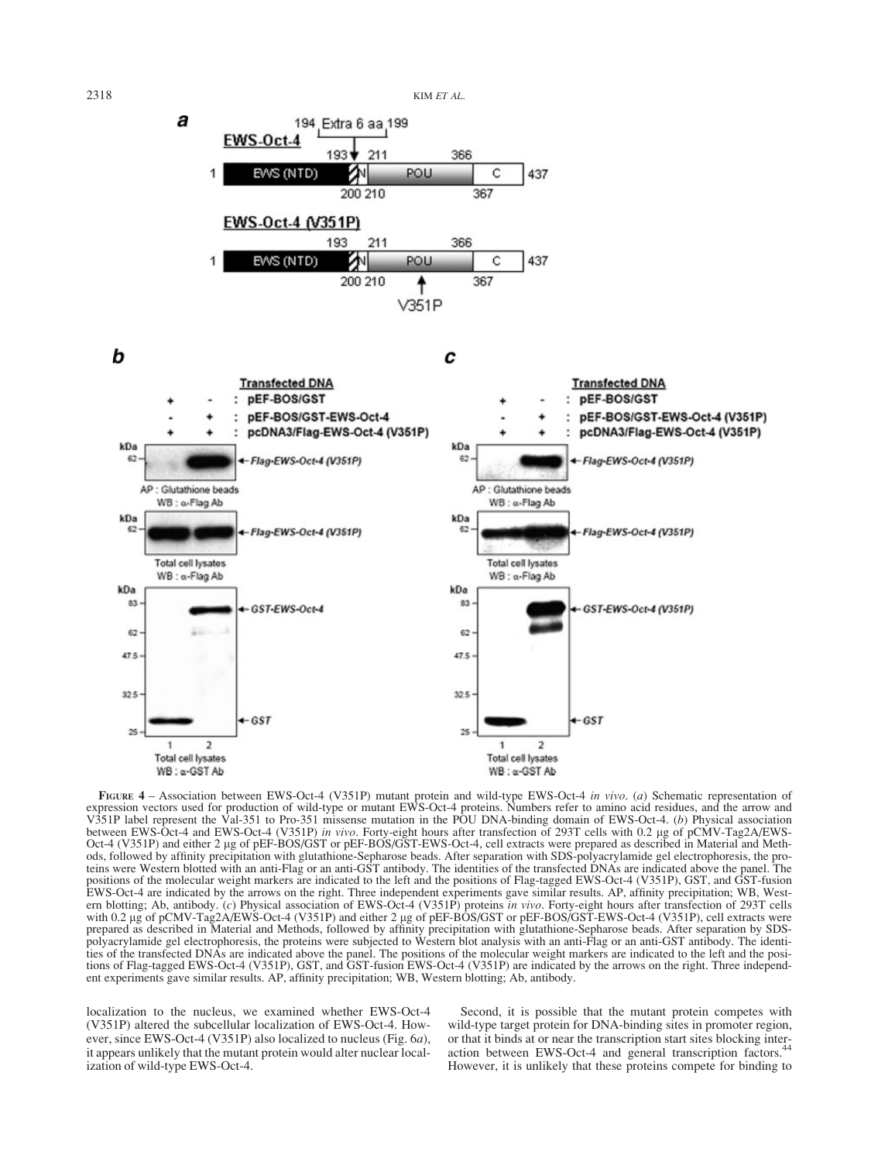2318 KIM ET AL.



b

C



FIGURE 4 - Association between EWS-Oct-4 (V351P) mutant protein and wild-type EWS-Oct-4 in vivo. (a) Schematic representation of expression vectors used for production of wild-type or mutant EWS-Oct-4 proteins. Numbers refer to amino acid residues, and the arrow and V351P label represent the Val-351 to Pro-351 missense mutation in the POU DNA-binding domain of EWS-Oct-4. (b) Physical association between EWS-Oct-4 and EWS-Oct-4 (V351P) in vivo. Forty-eight hours after transfection of 293T cells with 0.2 µg of pCMV-Tag2A/EWS-Oct-4 (V351P) and either 2 µg of pEF-BOS/GST or pEF-BOS/GST-EWS-Oct-4, cell extracts were prepared as described in Material and Meth-<br>ods, followed by affinity precipitation with glutathione-Sepharose beads. After separati ods, followed by affinity precipitation with glutathione-Sepharose beads. After separation with SDS-polyacrylamide gel electrophoresis, the pro-<br>teins were Western blotted with an anti-Flag or an anti-GST antibody. The ide positions of the molecular weight markers are indicated to the left and the positions of Flag-tagged EWS-Oct-4 (V351P), GST, and GST-fusion EWS-Oct-4 are indicated by the arrows on the right. Three independent experiments gave similar results. AP, affinity precipitation; WB, Western blotting; Ab, antibody. (c) Physical association of EWS-Oct-4 (V351P) proteins in vivo. Forty-eight hours after transfection of 293T cells with 0.2 µg of pCMV-Tag2A/EWS-Oct-4 (V351P) and either 2 µg of pEF-BOS/GST or pEF-BOS/GST-EWS-Oct-4 (V351P), cell extracts were prepared as described in Material and Methods, followed by affinity precipitation with glutathione-Sepharose beads. After separation by SDSpolyacrylamide gel electrophoresis, the proteins were subjected to Western blot analysis with an anti-Flag or an anti-GST antibody. The identities of the transfected DNAs are indicated above the panel. The positions of the molecular weight markers are indicated to the left and the positions of Flag-tagged EWS-Oct-4 (V351P), GST, and GST-fusion EWS-Oct-4 (V351P) are indicated by the arrows on the right. Three independent experiments gave similar results. AP, affinity precipitation; WB, Western blotting; Ab, antibody.

localization to the nucleus, we examined whether EWS-Oct-4 (V351P) altered the subcellular localization of EWS-Oct-4. However, since EWS-Oct-4 (V351P) also localized to nucleus (Fig. 6a), it appears unlikely that the mutant protein would alter nuclear localization of wild-type EWS-Oct-4.

Second, it is possible that the mutant protein competes with wild-type target protein for DNA-binding sites in promoter region, or that it binds at or near the transcription start sites blocking inter-<br>action between EWS-Oct-4 and general transcription factors.<sup>44</sup> However, it is unlikely that these proteins compete for binding to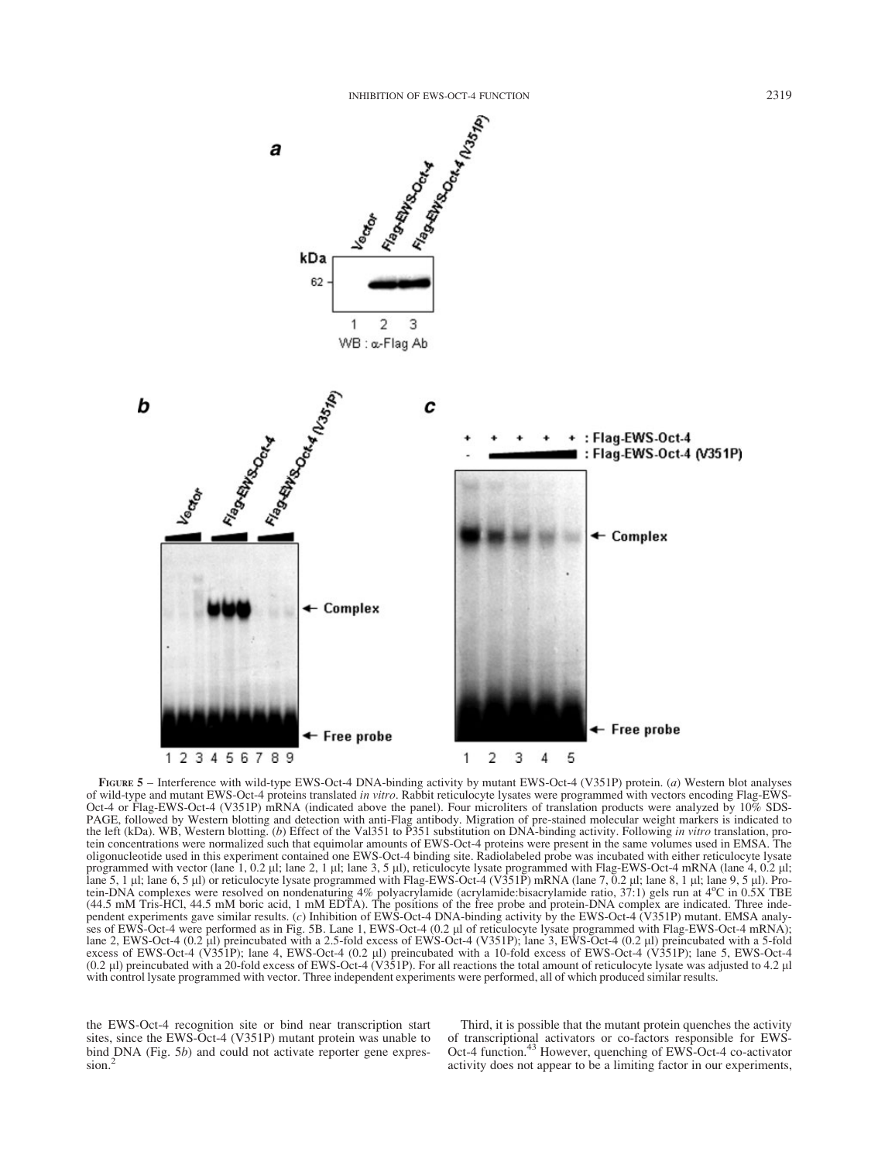

FIGURE 5 – Interference with wild-type EWS-Oct-4 DNA-binding activity by mutant EWS-Oct-4 (V351P) protein. (a) Western blot analyses of wild-type and mutant EWS-Oct-4 proteins translated in vitro. Rabbit reticulocyte lysates were programmed with vectors encoding Flag-EWS-Oct-4 or Flag-EWS-Oct-4 (V351P) mRNA (indicated above the panel). Four microliters of translation products were analyzed by 10% SDS-PAGE, followed by Western blotting and detection with anti-Flag antibody. Migration of pre-stained molecular weight markers is indicated to the left (kDa). WB, Western blotting. (b) Effect of the Val351 to P351 substitution on DNA-binding activity. Following in vitro translation, protein concentrations were normalized such that equimolar amounts of EWS-Oct-4 proteins were present in the same volumes used in EMSA. The oligonucleotide used in this experiment contained one EWS-Oct-4 binding site. Radiolabeled probe was incubated with either reticulocyte lysate programmed with vector (lane 1, 0.2  $\mu$ ); lane 2, 1  $\mu$ ); lane 3, 5  $\mu$ ), reticulocyte lysate programmed with Flag-EWS-Oct-4 mRNA (lane 4, 0.2  $\mu$ ); lane 5, 1 µl; lane 6, 5 µl) or reticulocyte lysate programmed with Flag-EWS-Oct-4 (V351P) mRNA (lane 7, 0.2 µl; lane 8, 1 µl; lane 9, 5 µl). Protein-DNA complexes were resolved on nondenaturing 4% polyacrylamide (acrylamide:bisacrylamide ratio, 37:1) gels run at 4o C in 0.5X TBE (44.5 mM Tris-HCl, 44.5 mM boric acid, 1 mM EDTA). The positions of the free probe and protein-DNA complex are indicated. Three independent experiments gave similar results. (c) Inhibition of EWS-Oct-4 DNA-binding activity by the EWS-Oct-4 (V351P) mutant. EMSA analyses of EWS-Oct-4 were performed as in Fig. 5B. Lane 1, EWS-Oct-4 (0.2 µl of reticulocyte lysate programmed with Flag-EWS-Oct-4 mRNA); lane 2, EWS-Oct-4 (0.2 ll) preincubated with a 2.5-fold excess of EWS-Oct-4 (V351P); lane 3, EWS-Oct-4 (0.2 ll) preincubated with a 5-fold excess of EWS-Oct-4 (V351P); lane 4, EWS-Oct-4 (0.2 ll) preincubated with a 10-fold excess of EWS-Oct-4 (V351P); lane 5, EWS-Oct-4  $(0.2 \mu)$  preincubated with a 20-fold excess of EWS-Oct-4 (V351P). For all reactions the total amount of reticulocyte lysate was adjusted to 4.2  $\mu$ with control lysate programmed with vector. Three independent experiments were performed, all of which produced similar results.

the EWS-Oct-4 recognition site or bind near transcription start sites, since the EWS-Oct-4 (V351P) mutant protein was unable to bind DNA (Fig. 5b) and could not activate reporter gene expression.<sup>2</sup>

Third, it is possible that the mutant protein quenches the activity of transcriptional activators or co-factors responsible for EWS-Oct-4 function.<sup>43</sup> However, quenching of EWS-Oct-4 co-activator activity does not appear to be a limiting factor in our experiments,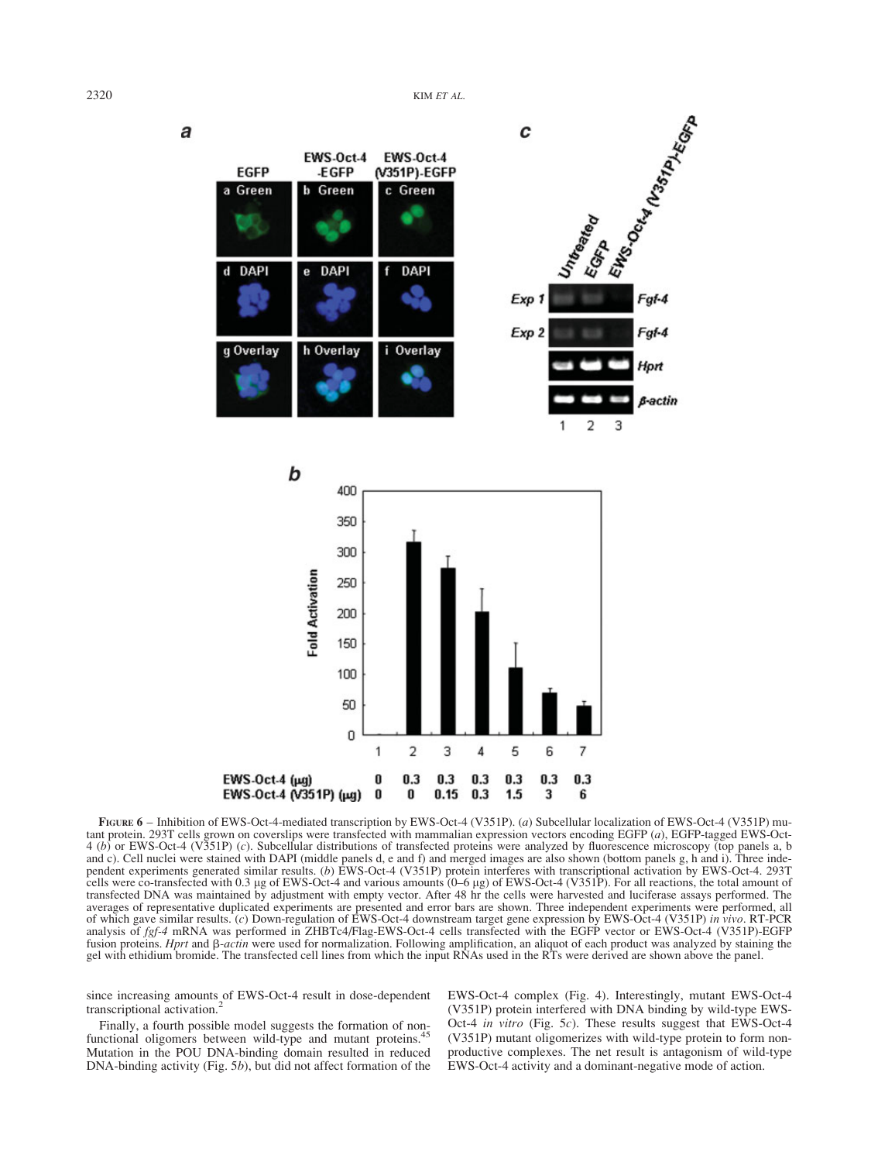

FIGURE 6 – Inhibition of EWS-Oct-4-mediated transcription by EWS-Oct-4 (V351P). (a) Subcellular localization of EWS-Oct-4 (V351P) mutant protein. 293T cells grown on coverslips were transfected with mammalian expression vectors encoding EGFP (a), EGFP-tagged EWS-Oct-4 (b) or EWS-Oct-4 (V351P) (c). Subcellular distributions of transfected proteins were analyzed by fluorescence microscopy (top panels a, b and c). Cell nuclei were stained with DAPI (middle panels d, e and f) and merged images are also shown (bottom panels g, h and i). Three independent experiments generated similar results. (b) EWS-Oct-4 (V351P) protein interferes with transcriptional activation by EWS-Oct-4. 293T cells were co-transfected with 0.3 lg of EWS-Oct-4 and various amounts (0–6 lg) of EWS-Oct-4 (V351P). For all reactions, the total amount of transfected DNA was maintained by adjustment with empty vector. After 48 hr the cells were harvested and luciferase assays performed. The averages of representative duplicated experiments are presented and error bars are shown. Three independent experiments were performed, all of which gave similar results. (c) Down-regulation of EWS-Oct-4 downstream target gene expression by EWS-Oct-4 (V351P) in vivo. RT-PCR analysis of fgf-4 mRNA was performed in ZHBTc4/Flag-EWS-Oct-4 cells transfected with the EGFP vector or EWS-Oct-4 (V351P)-EGFP fusion proteins. Hprt and  $\beta$ -actin were used for normalization. Following amplification, an aliquot of each product was analyzed by staining the gel with ethidium bromide. The transfected cell lines from which the input RNAs used in the RTs were derived are shown above the panel.

since increasing amounts of EWS-Oct-4 result in dose-dependent transcriptional activation.<sup>2</sup>

Finally, a fourth possible model suggests the formation of nonfunctional oligomers between wild-type and mutant proteins.<sup>4</sup> Mutation in the POU DNA-binding domain resulted in reduced DNA-binding activity (Fig. 5b), but did not affect formation of the EWS-Oct-4 complex (Fig. 4). Interestingly, mutant EWS-Oct-4 (V351P) protein interfered with DNA binding by wild-type EWS-Oct-4 in vitro (Fig. 5c). These results suggest that EWS-Oct-4 (V351P) mutant oligomerizes with wild-type protein to form nonproductive complexes. The net result is antagonism of wild-type EWS-Oct-4 activity and a dominant-negative mode of action.

a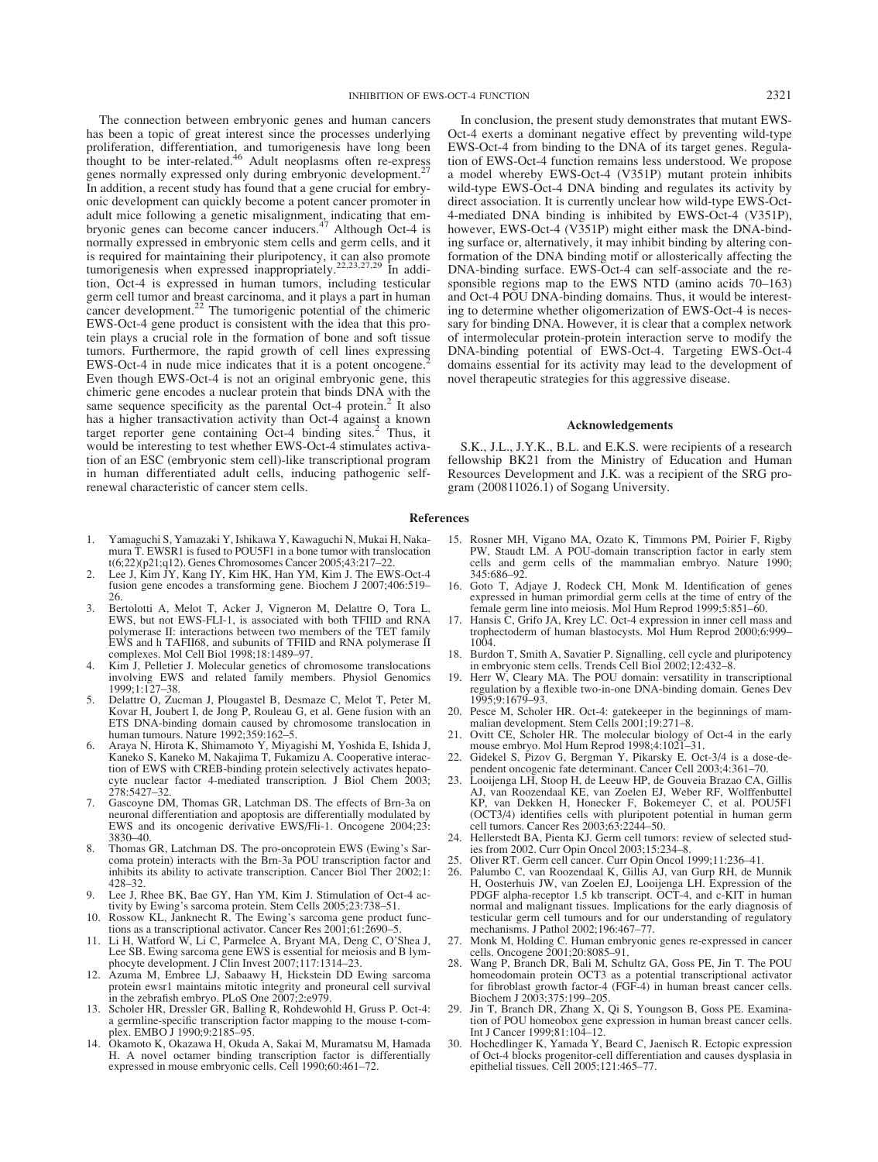The connection between embryonic genes and human cancers has been a topic of great interest since the processes underlying proliferation, differentiation, and tumorigenesis have long been thought to be inter-related.<sup>46</sup> Adult neoplasms often re-express genes normally expressed only during embryonic development.<sup>27</sup> In addition, a recent study has found that a gene crucial for embryonic development can quickly become a potent cancer promoter in adult mice following a genetic misalignment, indicating that em-<br>bryonic genes can become cancer inducers.<sup>47</sup> Although Oct-4 is normally expressed in embryonic stem cells and germ cells, and it is required for maintaining their pluripotency, it can also promote tumorigenesis when expressed inappropriately.<sup>22,23,27,29</sup> In addition, Oct-4 is expressed in human tumors, including testicular germ cell tumor and breast carcinoma, and it plays a part in human cancer development.<sup>22</sup> The tumorigenic potential of the chimeric EWS-Oct-4 gene product is consistent with the idea that this protein plays a crucial role in the formation of bone and soft tissue tumors. Furthermore, the rapid growth of cell lines expressing EWS-Oct-4 in nude mice indicates that it is a potent oncogene.<sup>2</sup> Even though EWS-Oct-4 is not an original embryonic gene, this chimeric gene encodes a nuclear protein that binds DNA with the same sequence specificity as the parental Oct-4 protein.<sup>2</sup> It also has a higher transactivation activity than Oct-4 against a known target reporter gene containing Oct-4 binding sites.<sup>2</sup> Thus, it would be interesting to test whether EWS-Oct-4 stimulates activation of an ESC (embryonic stem cell)-like transcriptional program in human differentiated adult cells, inducing pathogenic selfrenewal characteristic of cancer stem cells.

- 1. Yamaguchi S, Yamazaki Y, Ishikawa Y, Kawaguchi N, Mukai H, Nakamura T. EWSR1 is fused to POU5F1 in a bone tumor with translocation t(6;22)(p21;q12). Genes Chromosomes Cancer 2005;43:217–22.
- 2. Lee J, Kim JY, Kang IY, Kim HK, Han YM, Kim J. The EWS-Oct-4 fusion gene encodes a transforming gene. Biochem J 2007;406:519– 26.
- 3. Bertolotti A, Melot T, Acker J, Vigneron M, Delattre O, Tora L. EWS, but not EWS-FLI-1, is associated with both TFIID and RNA polymerase II: interactions between two members of the TET family EWS and h TAFII68, and subunits of TFIID and RNA polymerase II complexes. Mol Cell Biol 1998;18:1489–97.
- 4. Kim J, Pelletier J. Molecular genetics of chromosome translocations involving EWS and related family members. Physiol Genomics 1999;1:127–38.
- 5. Delattre O, Zucman J, Plougastel B, Desmaze C, Melot T, Peter M, Kovar H, Joubert I, de Jong P, Rouleau G, et al. Gene fusion with an ETS DNA-binding domain caused by chromosome translocation in human tumours. Nature 1992;359:162–5.
- 6. Araya N, Hirota K, Shimamoto Y, Miyagishi M, Yoshida E, Ishida J, Kaneko S, Kaneko M, Nakajima T, Fukamizu A. Cooperative interaction of EWS with CREB-binding protein selectively activates hepatocyte nuclear factor 4-mediated transcription. J Biol Chem 2003;  $278.5427 - 32.$
- 7. Gascoyne DM, Thomas GR, Latchman DS. The effects of Brn-3a on neuronal differentiation and apoptosis are differentially modulated by EWS and its oncogenic derivative EWS/Fli-1. Oncogene 2004;23: 3830–40.
- 8. Thomas GR, Latchman DS. The pro-oncoprotein EWS (Ewing's Sar-coma protein) interacts with the Brn-3a POU transcription factor and inhibits its ability to activate transcription. Cancer Biol Ther 2002;1: 428–32.
- Lee J, Rhee BK, Bae GY, Han YM, Kim J. Stimulation of Oct-4 activity by Ewing's sarcoma protein. Stem Cells 2005;23:738–51.
- 10. Rossow KL, Janknecht R. The Ewing's sarcoma gene product func-tions as a transcriptional activator. Cancer Res 2001;61:2690–5.
- Li H, Watford W, Li C, Parmelee A, Bryant MA, Deng C, O'Shea J, Lee SB. Ewing sarcoma gene EWS is essential for meiosis and B lymphocyte development. J Clin Invest 2007;117:1314–23.
- 12. Azuma M, Embree LJ, Sabaawy H, Hickstein DD Ewing sarcoma protein ewsr1 maintains mitotic integrity and proneural cell survival in the zebrafish embryo. PLoS One 2007;2:e979.
- 13. Scholer HR, Dressler GR, Balling R, Rohdewohld H, Gruss P. Oct-4: a germline-specific transcription factor mapping to the mouse t-complex. EMBO J 1990;9:2185-95.
- 14. Okamoto K, Okazawa H, Okuda A, Sakai M, Muramatsu M, Hamada H. A novel octamer binding transcription factor is differentially expressed in mouse embryonic cells. Cell 1990;60:461–72.

In conclusion, the present study demonstrates that mutant EWS-Oct-4 exerts a dominant negative effect by preventing wild-type EWS-Oct-4 from binding to the DNA of its target genes. Regulation of EWS-Oct-4 function remains less understood. We propose a model whereby EWS-Oct-4 (V351P) mutant protein inhibits wild-type EWS-Oct-4 DNA binding and regulates its activity by direct association. It is currently unclear how wild-type EWS-Oct-4-mediated DNA binding is inhibited by EWS-Oct-4 (V351P), however, EWS-Oct-4 (V351P) might either mask the DNA-binding surface or, alternatively, it may inhibit binding by altering conformation of the DNA binding motif or allosterically affecting the DNA-binding surface. EWS-Oct-4 can self-associate and the responsible regions map to the EWS NTD (amino acids 70–163) and Oct-4 POU DNA-binding domains. Thus, it would be interesting to determine whether oligomerization of EWS-Oct-4 is necessary for binding DNA. However, it is clear that a complex network of intermolecular protein-protein interaction serve to modify the DNA-binding potential of EWS-Oct-4. Targeting EWS-Oct-4 domains essential for its activity may lead to the development of novel therapeutic strategies for this aggressive disease.

#### Acknowledgements

S.K., J.L., J.Y.K., B.L. and E.K.S. were recipients of a research fellowship BK21 from the Ministry of Education and Human Resources Development and J.K. was a recipient of the SRG program (200811026.1) of Sogang University.

## References

- 15. Rosner MH, Vigano MA, Ozato K, Timmons PM, Poirier F, Rigby PW, Staudt LM. A POU-domain transcription factor in early stem cells and germ cells of the mammalian embryo. Nature 1990; 345:686–92.
- 16. Goto T, Adjaye J, Rodeck CH, Monk M. Identification of genes expressed in human primordial germ cells at the time of entry of the female germ line into meiosis. Mol Hum Reprod 1999;5:851–60.
- 17. Hansis C, Grifo JA, Krey LC. Oct-4 expression in inner cell mass and trophectoderm of human blastocysts. Mol Hum Reprod 2000;6:999– 1004.
- 18. Burdon T, Smith A, Savatier P. Signalling, cell cycle and pluripotency in embryonic stem cells. Trends Cell Biol 2002;12:432–8.
- 19. Herr W, Cleary MA. The POU domain: versatility in transcriptional regulation by a flexible two-in-one DNA-binding domain. Genes Dev 1995;9:1679–93.
- 20. Pesce M, Scholer HR. Oct-4: gatekeeper in the beginnings of mammalian development. Stem Cells 2001;19:271–8.
- Ovitt CE, Scholer HR. The molecular biology of Oct-4 in the early mouse embryo. Mol Hum Reprod 1998;4:1021–31.
- 22. Gidekel S, Pizov G, Bergman Y, Pikarsky E. Oct-3/4 is a dose-dependent oncogenic fate determinant. Cancer Cell 2003;4:361–70.
- 23. Looijenga LH, Stoop H, de Leeuw HP, de Gouveia Brazao CA, Gillis AJ, van Roozendaal KE, van Zoelen EJ, Weber RF, Wolffenbuttel KP, van Dekken H, Honecker F, Bokemeyer C, et al. POU5F1 (OCT3/4) identifies cells with pluripotent potential in human germ cell tumors. Cancer Res 2003;63:2244–50.
- 24. Hellerstedt BA, Pienta KJ. Germ cell tumors: review of selected studies from 2002. Curr Opin Oncol 2003;15:234–8.
- 25. Oliver RT. Germ cell cancer. Curr Opin Oncol 1999;11:236–41.
- 26. Palumbo C, van Roozendaal K, Gillis AJ, van Gurp RH, de Munnik H, Oosterhuis JW, van Zoelen EJ, Looijenga LH. Expression of the PDGF alpha-receptor 1.5 kb transcript. OCT-4, and c-KIT in human normal and malignant tissues. Implications for the early diagnosis of testicular germ cell tumours and for our understanding of regulatory mechanisms. J Pathol 2002;196:467-7
- 27. Monk M, Holding C. Human embryonic genes re-expressed in cancer cells. Oncogene 2001;20:8085–91.
- 28. Wang P, Branch DR, Bali M, Schultz GA, Goss PE, Jin T. The POU homeodomain protein OCT3 as a potential transcriptional activator for fibroblast growth factor-4 (FGF-4) in human breast cancer cells. Biochem J 2003;375:199–205.
- 29. Jin T, Branch DR, Zhang X, Qi S, Youngson B, Goss PE. Examination of POU homeobox gene expression in human breast cancer cells. Int J Cancer 1999;81:104–12.
- 30. Hochedlinger K, Yamada Y, Beard C, Jaenisch R. Ectopic expression of Oct-4 blocks progenitor-cell differentiation and causes dysplasia in epithelial tissues. Cell 2005;121:465–77.